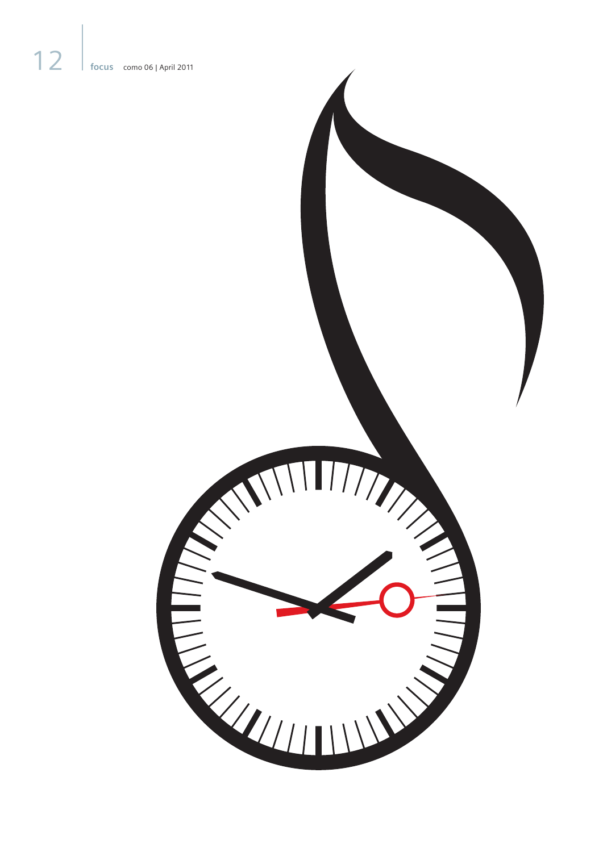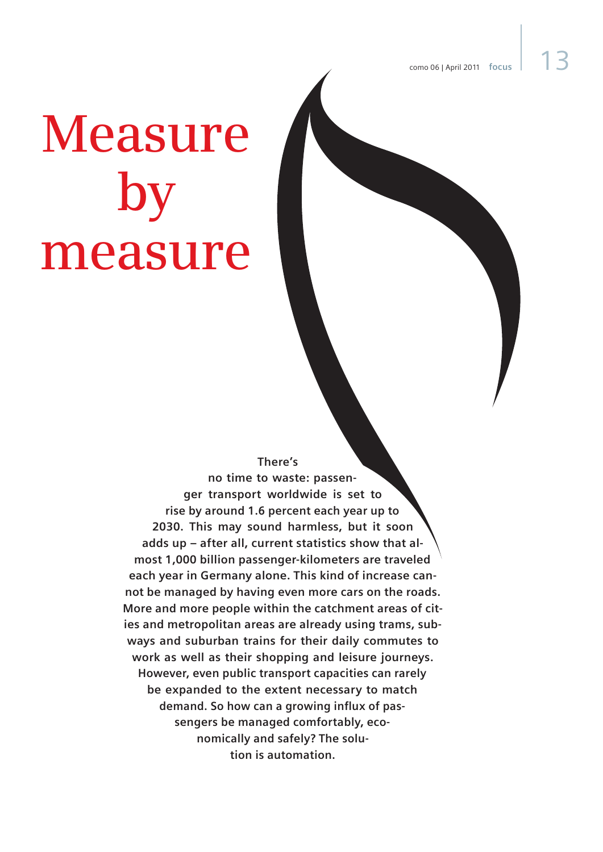# **Measure by measure**

**There's** 

**no time to waste: passenger transport worldwide is set to rise by around 1.6 percent each year up to 2030. This may sound harmless, but it soon adds up – after all, current statistics show that almost 1,000 billion passenger-kilometers are traveled each year in Germany alone. This kind of increase cannot be managed by having even more cars on the roads. More and more people within the catchment areas of cities and metropolitan areas are already using trams, subways and suburban trains for their daily commutes to work as well as their shopping and leisure journeys. However, even public transport capacities can rarely be expanded to the extent necessary to match demand. So how can a growing influx of passengers be managed comfortably, economically and safely? The solution is automation.**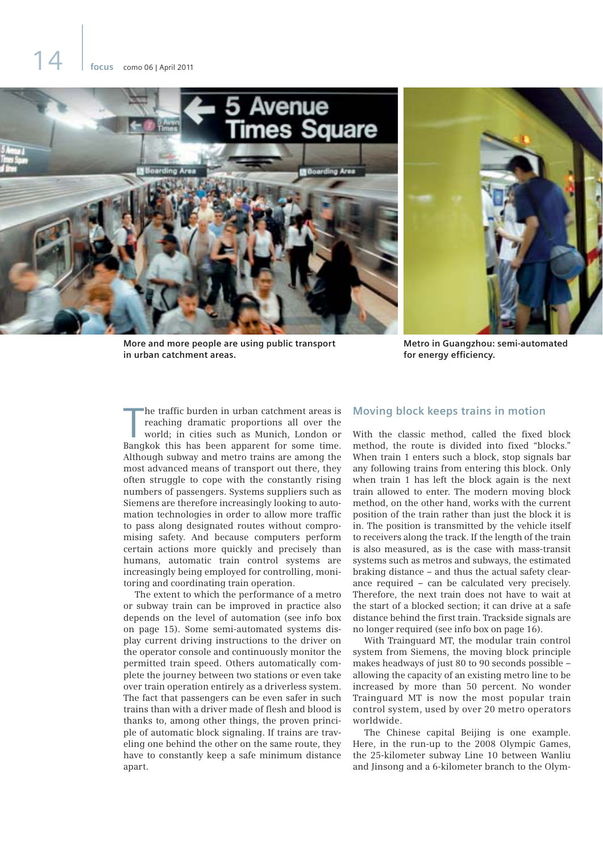





**Metro in Guangzhou: semi-automated for energy efficiency.**

The traffic burden in urban catchment areas is<br>reaching dramatic proportions all over the<br>world; in cities such as Munich, London or<br>Bangkok this has been apparent for some time. he traffic burden in urban catchment areas is reaching dramatic proportions all over the world; in cities such as Munich, London or Although subway and metro trains are among the most advanced means of transport out there, they often struggle to cope with the constantly rising numbers of passengers. Systems suppliers such as Siemens are therefore increasingly looking to automation technologies in order to allow more traffic to pass along designated routes without compromising safety. And because computers perform certain actions more quickly and precisely than humans, automatic train control systems are increasingly being employed for controlling, monitoring and coordinating train operation.

The extent to which the performance of a metro or subway train can be improved in practice also depends on the level of automation (see info box on page 15). Some semi-automated systems display current driving instructions to the driver on the operator console and continuously monitor the permitted train speed. Others automatically complete the journey between two stations or even take over train operation entirely as a driverless system. The fact that passengers can be even safer in such trains than with a driver made of flesh and blood is thanks to, among other things, the proven principle of automatic block signaling. If trains are traveling one behind the other on the same route, they have to constantly keep a safe minimum distance apart.

### **Moving block keeps trains in motion**

With the classic method, called the fixed block method, the route is divided into fixed "blocks." When train 1 enters such a block, stop signals bar any following trains from entering this block. Only when train 1 has left the block again is the next train allowed to enter. The modern moving block method, on the other hand, works with the current position of the train rather than just the block it is in. The position is transmitted by the vehicle itself to receivers along the track. If the length of the train is also measured, as is the case with mass-transit systems such as metros and subways, the estimated braking distance – and thus the actual safety clearance required – can be calculated very precisely. Therefore, the next train does not have to wait at the start of a blocked section; it can drive at a safe distance behind the first train. Trackside signals are no longer required (see info box on page 16).

With Trainguard MT, the modular train control system from Siemens, the moving block principle makes headways of just 80 to 90 seconds possible – allowing the capacity of an existing metro line to be increased by more than 50 percent. No wonder Trainguard MT is now the most popular train control system, used by over 20 metro operators worldwide.

The Chinese capital Beijing is one example. Here, in the run-up to the 2008 Olympic Games, the 25-kilometer subway Line 10 between Wanliu and Jinsong and a 6-kilometer branch to the Olym-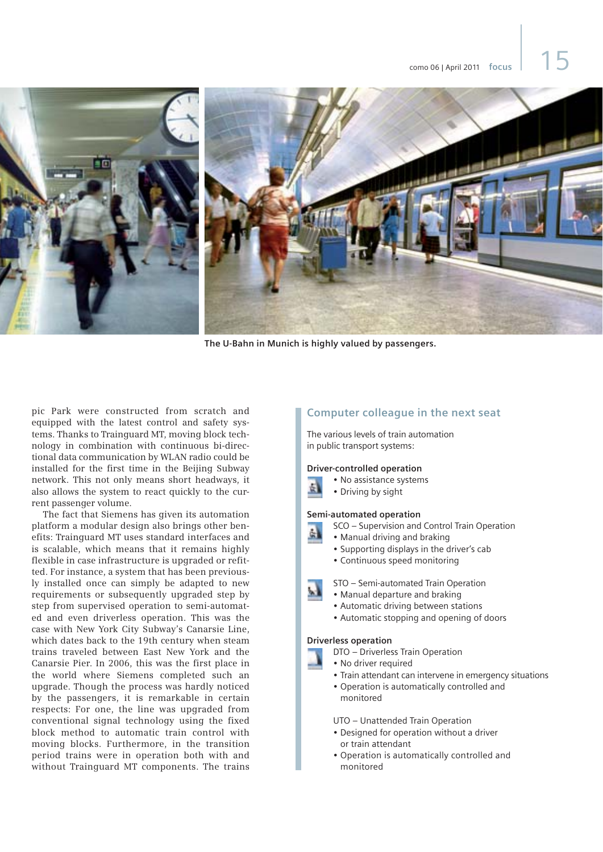

**The U-Bahn in Munich is highly valued by passengers.**

pic Park were constructed from scratch and equipped with the latest control and safety systems. Thanks to Trainguard MT, moving block technology in combination with continuous bi-directional data communication by WLAN radio could be installed for the first time in the Beijing Subway network. This not only means short headways, it also allows the system to react quickly to the current passenger volume.

The fact that Siemens has given its automation platform a modular design also brings other benefits: Trainguard MT uses standard interfaces and is scalable, which means that it remains highly flexible in case infrastructure is upgraded or refitted. For instance, a system that has been previously installed once can simply be adapted to new requirements or subsequently upgraded step by step from supervised operation to semi-automated and even driverless operation. This was the case with New York City Subway's Canarsie Line, which dates back to the 19th century when steam trains traveled between East New York and the Canarsie Pier. In 2006, this was the first place in the world where Siemens completed such an upgrade. Though the process was hardly noticed by the passengers, it is remarkable in certain respects: For one, the line was upgraded from conventional signal technology using the fixed block method to automatic train control with moving blocks. Furthermore, in the transition period trains were in operation both with and without Trainguard MT components. The trains

## **Computer colleague in the next seat**

The various levels of train automation in public transport systems:

#### **Driver-controlled operation**

- No assistance systems<br>• Driving by sight
	- Driving by sight

#### **Semi-automated operation**

- $\begin{array}{c} \hline \text{SCO} \text{Supervision and Control Train Operation} \\ \text{Mapual driving and brain} \end{array}$ 
	- Manual driving and braking
	- Supporting displays in the driver's cab
	- Continuous speed monitoring

 $\overline{\mathbf{S}}$  STO – Semi-automated Train Operation

- Manual departure and braking
- Automatic driving between stations
- Automatic stopping and opening of doors

#### **Driverless operation**

- DTO Driverless Train Operation
	- No driver required
	- Train attendant can intervene in emergency situations
- Operation is automatically controlled and monitored

UTO – Unattended Train Operation

- Designed for operation without a driver or train attendant
- Operation is automatically controlled and monitored